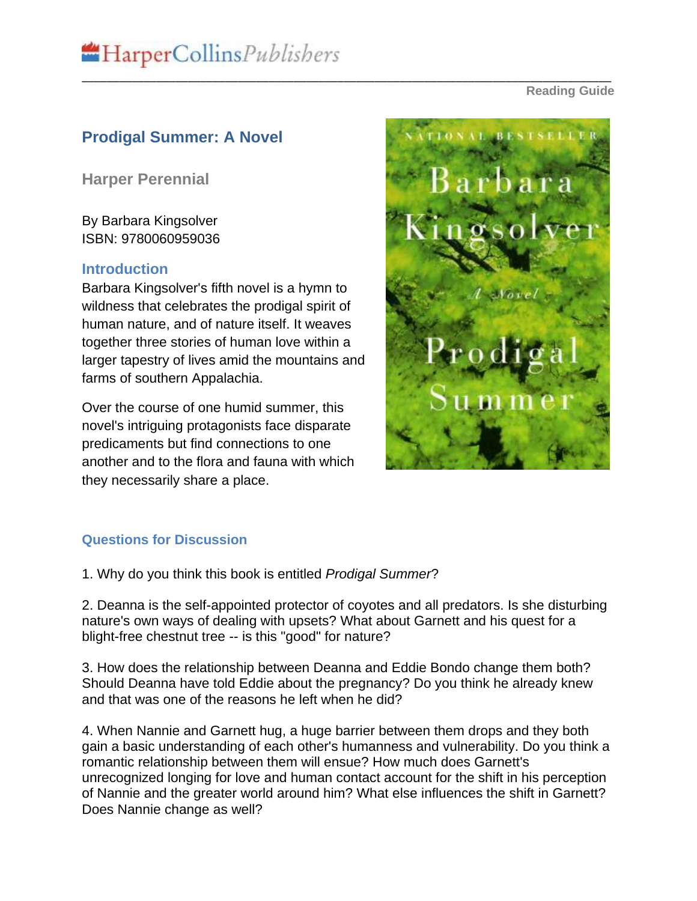# HarperCollinsPublishers

**Reading Guide**

### **Prodigal Summer: A Novel**

**Harper Perennial**

By Barbara Kingsolver ISBN: 9780060959036

#### **Introduction**

Barbara Kingsolver's fifth novel is a hymn to wildness that celebrates the prodigal spirit of human nature, and of nature itself. It weaves together three stories of human love within a larger tapestry of lives amid the mountains and farms of southern Appalachia.

Over the course of one humid summer, this novel's intriguing protagonists face disparate predicaments but find connections to one another and to the flora and fauna with which they necessarily share a place.



#### **Questions for Discussion**

1. Why do you think this book is entitled *Prodigal Summer*?

2. Deanna is the self-appointed protector of coyotes and all predators. Is she disturbing nature's own ways of dealing with upsets? What about Garnett and his quest for a blight-free chestnut tree -- is this "good" for nature?

\_\_\_\_\_\_\_\_\_\_\_\_\_\_\_\_\_\_\_\_\_\_\_\_\_\_\_\_\_\_\_\_\_\_\_\_\_\_\_\_\_\_\_\_\_\_\_\_\_\_\_\_\_\_\_\_\_\_\_\_\_\_\_\_\_\_\_\_\_\_\_\_\_\_\_\_\_\_\_\_\_\_\_\_\_

3. How does the relationship between Deanna and Eddie Bondo change them both? Should Deanna have told Eddie about the pregnancy? Do you think he already knew and that was one of the reasons he left when he did?

4. When Nannie and Garnett hug, a huge barrier between them drops and they both gain a basic understanding of each other's humanness and vulnerability. Do you think a romantic relationship between them will ensue? How much does Garnett's unrecognized longing for love and human contact account for the shift in his perception of Nannie and the greater world around him? What else influences the shift in Garnett? Does Nannie change as well?